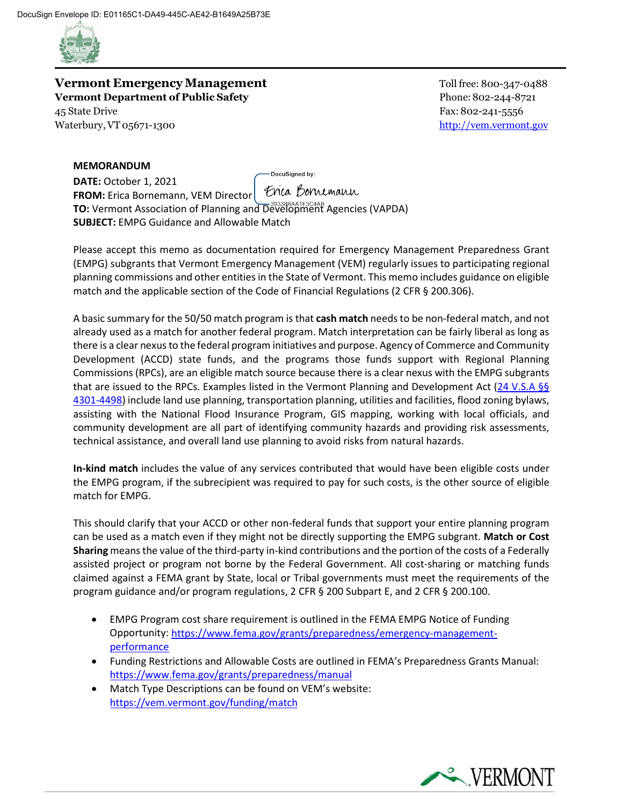

**Vermont Emergency Management** Toll free: 800-347-0488 **Vermont Department of Public Safety** Phone:802-244-8721 45 State Drive Fax: 802-241-5556 Waterbury, VT 05671-1300

## **MEMORANDUM**

DocuSigned by: **DATE:** October 1, 2021 Enca Bornemann **FROM:** Erica Bornemann, VEM Director **TO:** Vermont Association of Planning and Development Agencies (VAPDA) **SUBJECT:** EMPG Guidance and Allowable Match

Please accept this memo as documentation required for Emergency Management Preparedness Grant (EMPG) subgrants that Vermont Emergency Management (VEM) regularly issues to participating regional planning commissions and other entities in the State of Vermont. This memo includes guidance on eligible match and the applicable section of the Code of Financial Regulations (2 CFR § 200.306).

A basic summary for the 50/50 match program is that **cash match** needs to be non-federal match, and not already used as a match for another federal program. Match interpretation can be fairly liberal as long as there is a clear nexus to the federal program initiatives and purpose. Agency of Commerce and Community Development (ACCD) state funds, and the programs those funds support with Regional Planning Commissions (RPCs), are an eligible match source because there is a clear nexus with the EMPG subgrants that are issued to the RPCs. Examples listed in the Vermont Planning and Development Act [\(24 V.S.A §§](https://legislature.vermont.gov/statutes/chapter/24/117) [4301-4498\)](https://legislature.vermont.gov/statutes/chapter/24/117) include land use planning, transportation planning, utilities and facilities, flood zoning bylaws, assisting with the National Flood Insurance Program, GIS mapping, working with local officials, and community development are all part of identifying community hazards and providing risk assessments, technical assistance, and overall land use planning to avoid risks from natural hazards.

**In-kind match** includes the value of any services contributed that would have been eligible costs under the EMPG program, if the subrecipient was required to pay for such costs, is the other source of eligible match for EMPG.

This should clarify that your ACCD or other non-federal funds that support your entire planning program can be used as a match even if they might not be directly supporting the EMPG subgrant. **Match or Cost Sharing** means the value of the third-party in-kind contributions and the portion of the costs of a Federally assisted project or program not borne by the Federal Government. All cost-sharing or matching funds claimed against a FEMA grant by State, local or Tribal governments must meet the requirements of the program guidance and/or program regulations, 2 CFR § 200 Subpart E, and 2 CFR § 200.100.

- EMPG Program cost share requirement is outlined in the FEMA EMPG Notice of Funding Opportunity: [https://www.fema.gov/grants/preparedness/emergency-management](https://www.fema.gov/grants/preparedness/emergency-management-performance)[performance](https://www.fema.gov/grants/preparedness/emergency-management-performance)
- Funding Restrictions and Allowable Costs are outlined in FEMA's Preparedness Grants Manual: <https://www.fema.gov/grants/preparedness/manual>
- Match Type Descriptions can be found on VEM's website: <https://vem.vermont.gov/funding/match>

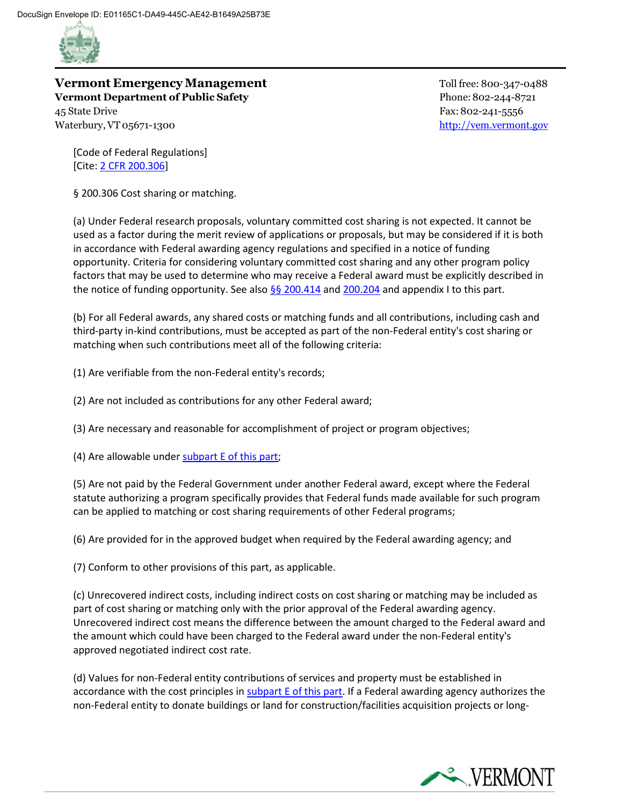

## **Vermont Emergency Management** Toll free: 800-347-0488 **Vermont Department of Public Safety** Phone:802-244-8721 45 State Drive Fax: 802-241-5556

Waterbury, VT 05671-1300

[Code of Federal Regulations] [Cite: 2 [CFR 200.306\]](https://ecfr.federalregister.gov/compare/2020-11-12/to/2020-11-11/title-2/subtitle-A/chapter-II/part-200/subpart-D/subject-group-ECFRdf297343ccb70ca/section-200.306)

§ 200.306 Cost sharing or matching.

(a) Under Federal research proposals, voluntary committed cost sharing is not expected. It cannot be used as a factor during the merit review of applications or proposals, but may be considered if it is both in accordance with Federal awarding agency regulations and specified in a notice of funding opportunity. Criteria for considering voluntary committed cost sharing and any other program policy factors that may be used to determine who may receive a Federal award must be explicitly described in the notice of funding opportunity. See also  $\S$  200.414 and [200.204](https://ecfr.federalregister.gov/on/2021-09-02/title-2/section-200.204) and appendix I to this part.

(b) For all Federal awards, any shared costs or matching funds and all contributions, including cash and third-party in-kind contributions, must be accepted as part of the non-Federal entity's cost sharing or matching when such contributions meet all of the following criteria:

(1) Are verifiable from the non-Federal entity's records;

(2) Are not included as contributions for any other Federal award;

(3) Are necessary and reasonable for accomplishment of project or program objectives;

(4) Are allowable under [subpart E of this part;](https://ecfr.federalregister.gov/on/2021-09-02/title-2/part-200/subpart-E)

(5) Are not paid by the Federal Government under another Federal award, except where the Federal statute authorizing a program specifically provides that Federal funds made available for such program can be applied to matching or cost sharing requirements of other Federal programs;

(6) Are provided for in the approved budget when required by the Federal awarding agency; and

(7) Conform to other provisions of this part, as applicable.

(c) Unrecovered indirect costs, including indirect costs on cost sharing or matching may be included as part of cost sharing or matching only with the prior approval of the Federal awarding agency. Unrecovered indirect cost means the difference between the amount charged to the Federal award and the amount which could have been charged to the Federal award under the non-Federal entity's approved negotiated indirect cost rate.

(d) Values for non-Federal entity contributions of services and property must be established in accordance with the cost principles in [subpart E of this part.](https://ecfr.federalregister.gov/on/2021-09-02/title-2/part-200/subpart-E) If a Federal awarding agency authorizes the non-Federal entity to donate buildings or land for construction/facilities acquisition projects or long-

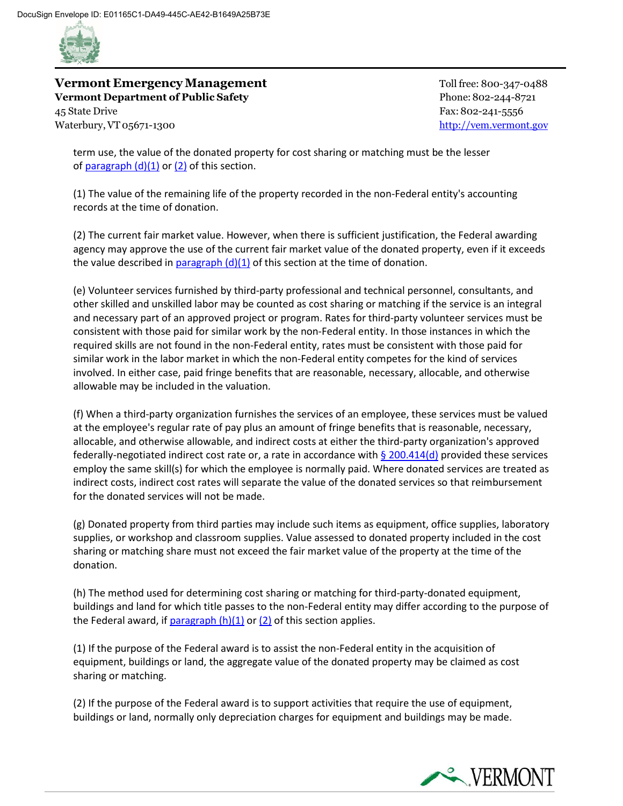

**Vermont Emergency Management** Toll free: 800-347-0488 **Vermont Department of Public Safety** Phone:802-244-8721 45 State Drive Fax: 802-241-5556 Waterbury, VT 05671-1300

term use, the value of the donated property for cost sharing or matching must be the lesser of  $\frac{\text{pargraph (d)(1) or (2)}}{\text{d}}$  $\frac{\text{pargraph (d)(1) or (2)}}{\text{d}}$  $\frac{\text{pargraph (d)(1) or (2)}}{\text{d}}$  of this section.

(1) The value of the remaining life of the property recorded in the non-Federal entity's accounting records at the time of donation.

(2) The current fair market value. However, when there is sufficient justification, the Federal awarding agency may approve the use of the current fair market value of the donated property, even if it exceeds the value described in paragraph  $(d)(1)$  of this section at the time of donation.

(e) Volunteer services furnished by third-party professional and technical personnel, consultants, and other skilled and unskilled labor may be counted as cost sharing or matching if the service is an integral and necessary part of an approved project or program. Rates for third-party volunteer services must be consistent with those paid for similar work by the non-Federal entity. In those instances in which the required skills are not found in the non-Federal entity, rates must be consistent with those paid for similar work in the labor market in which the non-Federal entity competes for the kind of services involved. In either case, paid fringe benefits that are reasonable, necessary, allocable, and otherwise allowable may be included in the valuation.

(f) When a third-party organization furnishes the services of an employee, these services must be valued at the employee's regular rate of pay plus an amount of fringe benefits that is reasonable, necessary, allocable, and otherwise allowable, and indirect costs at either the third-party organization's approved federally-negotiated indirect cost rate or, a rate in accordance with  $\S$  200.414(d) provided these services employ the same skill(s) for which the employee is normally paid. Where donated services are treated as indirect costs, indirect cost rates will separate the value of the donated services so that reimbursement for the donated services will not be made.

(g) Donated property from third parties may include such items as equipment, office supplies, laboratory supplies, or workshop and classroom supplies. Value assessed to donated property included in the cost sharing or matching share must not exceed the fair market value of the property at the time of the donation.

(h) The method used for determining cost sharing or matching for third-party-donated equipment, buildings and land for which title passes to the non-Federal entity may differ according to the purpose of the Federal award, if paragraph  $(h)(1)$  or  $(2)$  of this section applies.

(1) If the purpose of the Federal award is to assist the non-Federal entity in the acquisition of equipment, buildings or land, the aggregate value of the donated property may be claimed as cost sharing or matching.

(2) If the purpose of the Federal award is to support activities that require the use of equipment, buildings or land, normally only depreciation charges for equipment and buildings may be made.